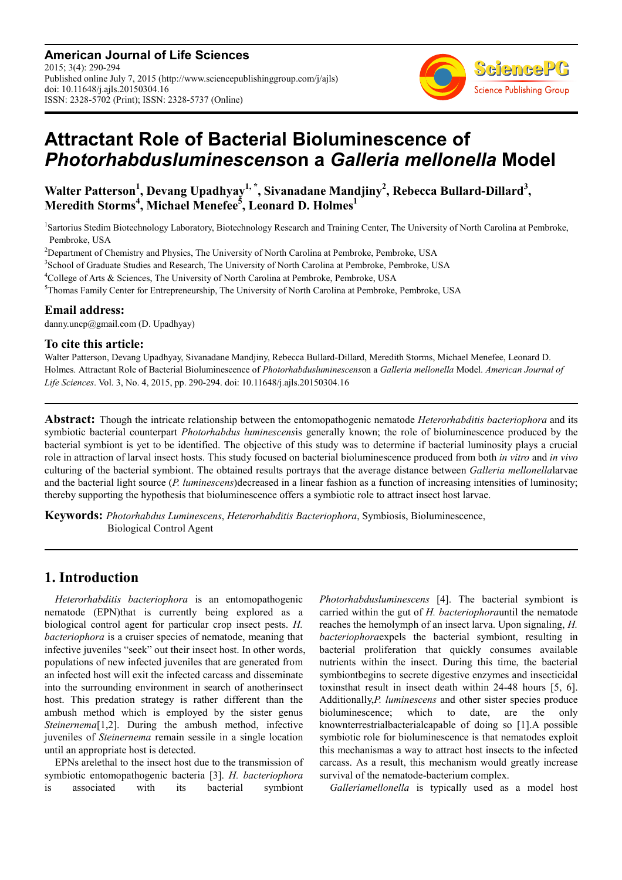**American Journal of Life Sciences** 2015; 3(4): 290-294 Published online July 7, 2015 (http://www.sciencepublishinggroup.com/j/ajls) doi: 10.11648/j.ajls.20150304.16 ISSN: 2328-5702 (Print); ISSN: 2328-5737 (Online)



# **Attractant Role of Bacterial Bioluminescence of**  *Photorhabdusluminescens***on a** *Galleria mellonella* **Model**

**Walter Patterson<sup>1</sup> , Devang Upadhyay1, \*, Sivanadane Mandjiny<sup>2</sup> , Rebecca Bullard-Dillard<sup>3</sup> , Meredith Storms<sup>4</sup> , Michael Menefee<sup>5</sup> , Leonard D. Holmes<sup>1</sup>**

1 Sartorius Stedim Biotechnology Laboratory, Biotechnology Research and Training Center, The University of North Carolina at Pembroke, Pembroke, USA

<sup>2</sup>Department of Chemistry and Physics, The University of North Carolina at Pembroke, Pembroke, USA

3 School of Graduate Studies and Research, The University of North Carolina at Pembroke, Pembroke, USA

<sup>4</sup>College of Arts & Sciences, The University of North Carolina at Pembroke, Pembroke, USA

<sup>5</sup>Thomas Family Center for Entrepreneurship, The University of North Carolina at Pembroke, Pembroke, USA

#### **Email address:**

danny.uncp@gmail.com (D. Upadhyay)

#### **To cite this article:**

Walter Patterson, Devang Upadhyay, Sivanadane Mandjiny, Rebecca Bullard-Dillard, Meredith Storms, Michael Menefee, Leonard D. Holmes. Attractant Role of Bacterial Bioluminescence of *Photorhabdusluminescens*on a *Galleria mellonella* Model. *American Journal of Life Sciences*. Vol. 3, No. 4, 2015, pp. 290-294. doi: 10.11648/j.ajls.20150304.16

**Abstract:** Though the intricate relationship between the entomopathogenic nematode *Heterorhabditis bacteriophora* and its symbiotic bacterial counterpart *Photorhabdus luminescens*is generally known; the role of bioluminescence produced by the bacterial symbiont is yet to be identified. The objective of this study was to determine if bacterial luminosity plays a crucial role in attraction of larval insect hosts. This study focused on bacterial bioluminescence produced from both *in vitro* and *in vivo* culturing of the bacterial symbiont. The obtained results portrays that the average distance between *Galleria mellonella*larvae and the bacterial light source (*P. luminescens*)decreased in a linear fashion as a function of increasing intensities of luminosity; thereby supporting the hypothesis that bioluminescence offers a symbiotic role to attract insect host larvae.

**Keywords:** *Photorhabdus Luminescens*, *Heterorhabditis Bacteriophora*, Symbiosis, Bioluminescence, Biological Control Agent

# **1. Introduction**

*Heterorhabditis bacteriophora* is an entomopathogenic nematode (EPN)that is currently being explored as a biological control agent for particular crop insect pests. *H. bacteriophora* is a cruiser species of nematode, meaning that infective juveniles "seek" out their insect host. In other words, populations of new infected juveniles that are generated from an infected host will exit the infected carcass and disseminate into the surrounding environment in search of anotherinsect host. This predation strategy is rather different than the ambush method which is employed by the sister genus *Steinernema*[1,2]. During the ambush method, infective juveniles of *Steinernema* remain sessile in a single location until an appropriate host is detected.

EPNs arelethal to the insect host due to the transmission of symbiotic entomopathogenic bacteria [3]. *H. bacteriophora* is associated with its bacterial symbiont *Photorhabdusluminescens* [4]. The bacterial symbiont is carried within the gut of *H. bacteriophora*until the nematode reaches the hemolymph of an insect larva. Upon signaling, *H. bacteriophora*expels the bacterial symbiont, resulting in bacterial proliferation that quickly consumes available nutrients within the insect. During this time, the bacterial symbiontbegins to secrete digestive enzymes and insecticidal toxinsthat result in insect death within 24-48 hours [5, 6]. Additionally,*P. luminescens* and other sister species produce bioluminescence; which to date, are the only knownterrestrialbacterialcapable of doing so [1].A possible symbiotic role for bioluminescence is that nematodes exploit this mechanismas a way to attract host insects to the infected carcass. As a result, this mechanism would greatly increase survival of the nematode-bacterium complex.

*Galleriamellonella* is typically used as a model host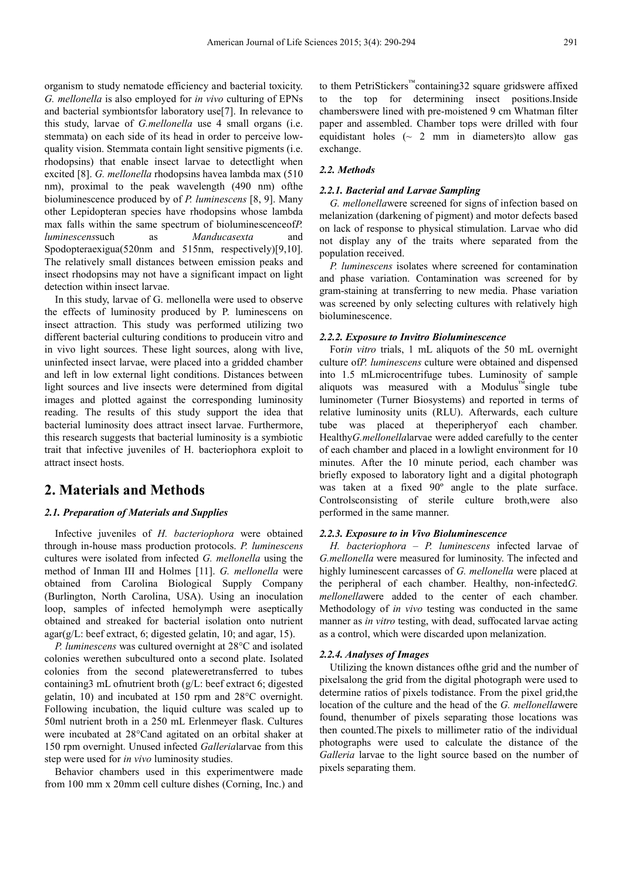organism to study nematode efficiency and bacterial toxicity. *G. mellonella* is also employed for *in vivo* culturing of EPNs and bacterial symbiontsfor laboratory use[7]. In relevance to this study, larvae of *G.mellonella* use 4 small organs (i.e. stemmata) on each side of its head in order to perceive lowquality vision. Stemmata contain light sensitive pigments (i.e. rhodopsins) that enable insect larvae to detectlight when excited [8]. *G. mellonella* rhodopsins havea lambda max (510 nm), proximal to the peak wavelength (490 nm) ofthe bioluminescence produced by of *P. luminescens* [8, 9]. Many other Lepidopteran species have rhodopsins whose lambda max falls within the same spectrum of bioluminescenceof*P. luminescens*such as *Manducasexta* and Spodopteraexigua(520nm and 515nm, respectively)[9,10]. The relatively small distances between emission peaks and insect rhodopsins may not have a significant impact on light detection within insect larvae.

In this study, larvae of G. mellonella were used to observe the effects of luminosity produced by P. luminescens on insect attraction. This study was performed utilizing two different bacterial culturing conditions to producein vitro and in vivo light sources. These light sources, along with live, uninfected insect larvae, were placed into a gridded chamber and left in low external light conditions. Distances between light sources and live insects were determined from digital images and plotted against the corresponding luminosity reading. The results of this study support the idea that bacterial luminosity does attract insect larvae. Furthermore, this research suggests that bacterial luminosity is a symbiotic trait that infective juveniles of H. bacteriophora exploit to attract insect hosts.

# **2. Materials and Methods**

#### *2.1. Preparation of Materials and Supplies*

Infective juveniles of *H. bacteriophora* were obtained through in-house mass production protocols. *P. luminescens* cultures were isolated from infected *G. mellonella* using the method of Inman III and Holmes [11]. *G. mellonella* were obtained from Carolina Biological Supply Company (Burlington, North Carolina, USA). Using an inoculation loop, samples of infected hemolymph were aseptically obtained and streaked for bacterial isolation onto nutrient agar(g/L: beef extract, 6; digested gelatin, 10; and agar, 15).

*P. luminescens* was cultured overnight at 28°C and isolated colonies werethen subcultured onto a second plate. Isolated colonies from the second plateweretransferred to tubes containing3 mL ofnutrient broth (g/L: beef extract 6; digested gelatin, 10) and incubated at 150 rpm and 28°C overnight. Following incubation, the liquid culture was scaled up to 50ml nutrient broth in a 250 mL Erlenmeyer flask. Cultures were incubated at 28°Cand agitated on an orbital shaker at 150 rpm overnight. Unused infected *Galleria*larvae from this step were used for *in vivo* luminosity studies.

Behavior chambers used in this experimentwere made from 100 mm x 20mm cell culture dishes (Corning, Inc.) and to them PetriStickers™containing32 square gridswere affixed to the top for determining insect positions.Inside chamberswere lined with pre-moistened 9 cm Whatman filter paper and assembled. Chamber tops were drilled with four equidistant holes  $\left(\sim 2 \text{ mm in diameters} \right)$  allow gas exchange.

#### *2.2. Methods*

#### *2.2.1. Bacterial and Larvae Sampling*

*G. mellonella*were screened for signs of infection based on melanization (darkening of pigment) and motor defects based on lack of response to physical stimulation. Larvae who did not display any of the traits where separated from the population received.

*P. luminescens* isolates where screened for contamination and phase variation. Contamination was screened for by gram-staining at transferring to new media. Phase variation was screened by only selecting cultures with relatively high bioluminescence.

#### *2.2.2. Exposure to Invitro Bioluminescence*

For*in vitro* trials, 1 mL aliquots of the 50 mL overnight culture of*P. luminescens* culture were obtained and dispensed into 1.5 mLmicrocentrifuge tubes. Luminosity of sample aliquots was measured with a Modulus™single tube luminometer (Turner Biosystems) and reported in terms of relative luminosity units (RLU). Afterwards, each culture tube was placed at theperipheryof each chamber. Healthy*G.mellonella*larvae were added carefully to the center of each chamber and placed in a lowlight environment for 10 minutes. After the 10 minute period, each chamber was briefly exposed to laboratory light and a digital photograph was taken at a fixed 90º angle to the plate surface. Controlsconsisting of sterile culture broth,were also performed in the same manner.

#### *2.2.3. Exposure to in Vivo Bioluminescence*

*H. bacteriophora* – *P. luminescens* infected larvae of *G.mellonella* were measured for luminosity. The infected and highly luminescent carcasses of *G. mellonella* were placed at the peripheral of each chamber. Healthy, non-infected*G. mellonella*were added to the center of each chamber. Methodology of *in vivo* testing was conducted in the same manner as *in vitro* testing, with dead, suffocated larvae acting as a control, which were discarded upon melanization.

#### *2.2.4. Analyses of Images*

Utilizing the known distances ofthe grid and the number of pixelsalong the grid from the digital photograph were used to determine ratios of pixels todistance. From the pixel grid,the location of the culture and the head of the *G. mellonella*were found, thenumber of pixels separating those locations was then counted.The pixels to millimeter ratio of the individual photographs were used to calculate the distance of the *Galleria* larvae to the light source based on the number of pixels separating them.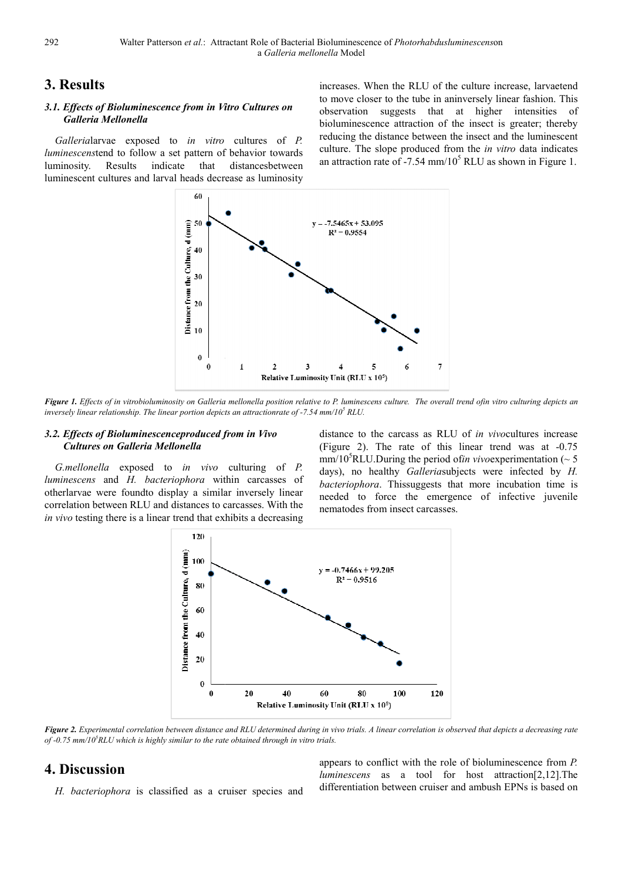# **3. Results**

#### 3.1. Effects of Bioluminescence from in Vitro Cultures on *Galleria Mellonella*

*Galleria*larvae exposed to *in vitro* cultures of *P. luminescenstend* to follow a set pattern of behavior towards luminosity. Results indicate that luminescent cultures and larval heads decrease decrease as luminosity distancesbetween

increases. When the RLU of the culture increase, larvaetend to move closer to the tube in aninversely linear fashion. This observation suggests that at higher intensities of bioluminescence attraction of the insect is greater; thereby reducing the distance between the insect and the luminescent culture. The slope produced from the *in vitro* data indicates an attraction rate of -7.54 mm/ $10^5$  RLU as shown in Figure 1.



Figure 1. Effects of in vitrobioluminosity on Galleria mellonella position relative to P. luminescens culture. The overall trend ofin vitro culturing depicts an *inversely linear relationship. The linear portion depict depicts an attractionrate of -7.54 mm/10<sup>5</sup> RLU.* 

#### *3.2. Effects of Bioluminescenceproduced from from in Vivo Cultures on Galleria Mellonella*

*G.mellonella* exposed to *in vivo* culturing of *P.*  luminescens and *H*. bacteriophora within carcasses of otherlarvae were foundto display a similar similar inversely linear correlation between RLU and distances to carcasses. With the *in vivo* testing there is a linear trend that exhibits a decreasing

distance to the carcass as RLU of *in vivo*cultures increase (Figure 2). The rate of this linear trend was at  $-0.75$ mm/10<sup>5</sup>RLU.During the period of*in vivo*experimentation ( $\sim$  5 days), no healthy *Galleriasubjects* were infected by *H*. bacteriophora. Thissuggests that more incubation time is needed to force the emergence of infective juvenile nematodes from insect carcasses.



Figure 2. Experimental correlation between distance and RLU determined during in vivo trials. A linear correlation is observed that depicts a decreasing rate *of -0.75 mm/10<sup>5</sup>RLU which is highly similar to the rate obtained through in vitro trials.*

# **4. Discussion**

H. bacteriophora is classified as a cruiser species and

appears to conflict with the role of bioluminescence from *P*. *luminescens* as a tool for for host attraction[2,12].The differentiation between cruiser and ambush EPNs is based on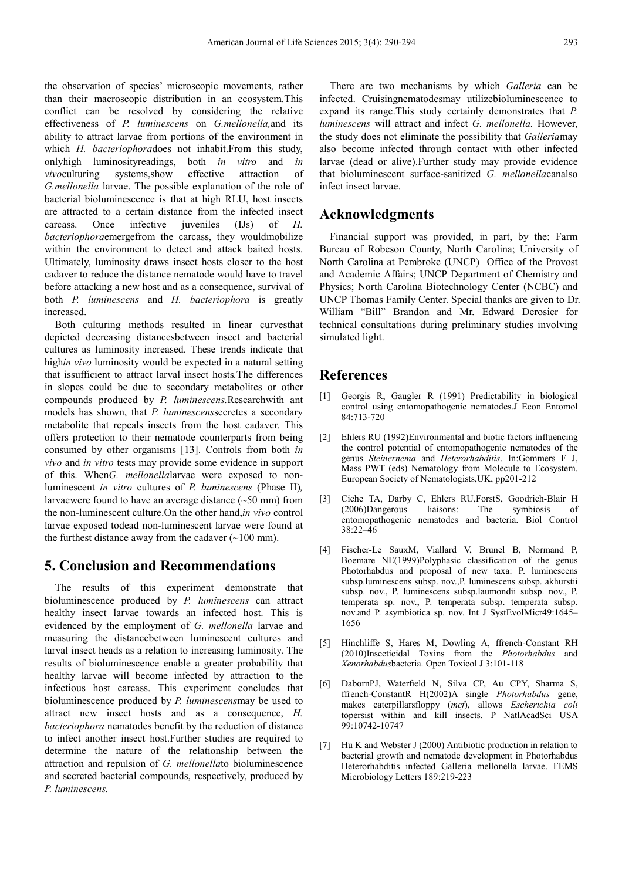the observation of species' microscopic movements, rather than their macroscopic distribution in an ecosystem.This conflict can be resolved by considering the relative effectiveness of *P. luminescens* on *G.mellonella,*and its ability to attract larvae from portions of the environment in which *H. bacteriophora*does not inhabit.From this study, onlyhigh luminosityreadings, both *in vitro* and *in vivo*culturing systems,show effective attraction of *G.mellonella* larvae. The possible explanation of the role of bacterial bioluminescence is that at high RLU, host insects are attracted to a certain distance from the infected insect carcass. Once infective juveniles (IJs) of *H. bacteriophora*emergefrom the carcass, they wouldmobilize within the environment to detect and attack baited hosts. Ultimately, luminosity draws insect hosts closer to the host cadaver to reduce the distance nematode would have to travel before attacking a new host and as a consequence, survival of both *P. luminescens* and *H. bacteriophora* is greatly increased.

Both culturing methods resulted in linear curvesthat depicted decreasing distancesbetween insect and bacterial cultures as luminosity increased. These trends indicate that high*in vivo* luminosity would be expected in a natural setting that issufficient to attract larval insect hosts*.*The differences in slopes could be due to secondary metabolites or other compounds produced by *P. luminescens.*Researchwith ant models has shown, that *P. luminescens*secretes a secondary metabolite that repeals insects from the host cadaver. This offers protection to their nematode counterparts from being consumed by other organisms [13]. Controls from both *in vivo* and *in vitro* tests may provide some evidence in support of this. When*G. mellonella*larvae were exposed to nonluminescent *in vitro* cultures of *P. luminescens* (Phase II)*,*  larvaewere found to have an average distance  $(\sim 50 \text{ mm})$  from the non-luminescent culture.On the other hand,*in vivo* control larvae exposed todead non-luminescent larvae were found at the furthest distance away from the cadaver  $(\sim 100 \text{ mm})$ .

# **5. Conclusion and Recommendations**

The results of this experiment demonstrate that bioluminescence produced by *P. luminescens* can attract healthy insect larvae towards an infected host. This is evidenced by the employment of *G. mellonella* larvae and measuring the distancebetween luminescent cultures and larval insect heads as a relation to increasing luminosity. The results of bioluminescence enable a greater probability that healthy larvae will become infected by attraction to the infectious host carcass. This experiment concludes that bioluminescence produced by *P. luminescens*may be used to attract new insect hosts and as a consequence, *H. bacteriophora* nematodes benefit by the reduction of distance to infect another insect host.Further studies are required to determine the nature of the relationship between the attraction and repulsion of *G. mellonella*to bioluminescence and secreted bacterial compounds, respectively, produced by *P. luminescens.* 

There are two mechanisms by which *Galleria* can be infected. Cruisingnematodesmay utilizebioluminescence to expand its range.This study certainly demonstrates that *P. luminescens* will attract and infect *G. mellonella.* However, the study does not eliminate the possibility that *Galleria*may also become infected through contact with other infected larvae (dead or alive).Further study may provide evidence that bioluminescent surface-sanitized *G. mellonella*canalso infect insect larvae.

### **Acknowledgments**

Financial support was provided, in part, by the: Farm Bureau of Robeson County, North Carolina; University of North Carolina at Pembroke (UNCP) Office of the Provost and Academic Affairs; UNCP Department of Chemistry and Physics; North Carolina Biotechnology Center (NCBC) and UNCP Thomas Family Center. Special thanks are given to Dr. William "Bill" Brandon and Mr. Edward Derosier for technical consultations during preliminary studies involving simulated light.

# **References**

- [1] Georgis R, Gaugler R (1991) Predictability in biological control using entomopathogenic nematodes.J Econ Entomol 84:713-720
- [2] Ehlers RU (1992)Environmental and biotic factors influencing the control potential of entomopathogenic nematodes of the genus *Steinernema* and *Heterorhabditis*. In:Gommers F J, Mass PWT (eds) Nematology from Molecule to Ecosystem. European Society of Nematologists,UK, pp201-212
- [3] Ciche TA, Darby C, Ehlers RU,ForstS, Goodrich-Blair H (2006)Dangerous liaisons: The symbiosis of entomopathogenic nematodes and bacteria. Biol Control 38:22–46
- [4] Fischer-Le SauxM, Viallard V, Brunel B, Normand P, Boemare NE(1999)Polyphasic classification of the genus Photorhabdus and proposal of new taxa: P. luminescens subsp.luminescens subsp. nov.,P. luminescens subsp. akhurstii subsp. nov., P. luminescens subsp.laumondii subsp. nov., P. temperata sp. nov., P. temperata subsp. temperata subsp. nov.and P. asymbiotica sp. nov. Int J SystEvolMicr49:1645– 1656
- [5] Hinchliffe S, Hares M, Dowling A, ffrench-Constant RH (2010)Insecticidal Toxins from the *Photorhabdus* and *Xenorhabdus*bacteria. Open Toxicol J 3:101-118
- [6] DabornPJ, Waterfield N, Silva CP, Au CPY, Sharma S, ffrench-ConstantR H(2002)A single *Photorhabdus* gene, makes caterpillarsfloppy (*mcf*), allows *Escherichia coli* topersist within and kill insects. P NatlAcadSci USA 99:10742-10747
- [7] Hu K and Webster J (2000) Antibiotic production in relation to bacterial growth and nematode development in Photorhabdus Heterorhabditis infected Galleria mellonella larvae. FEMS Microbiology Letters 189:219-223